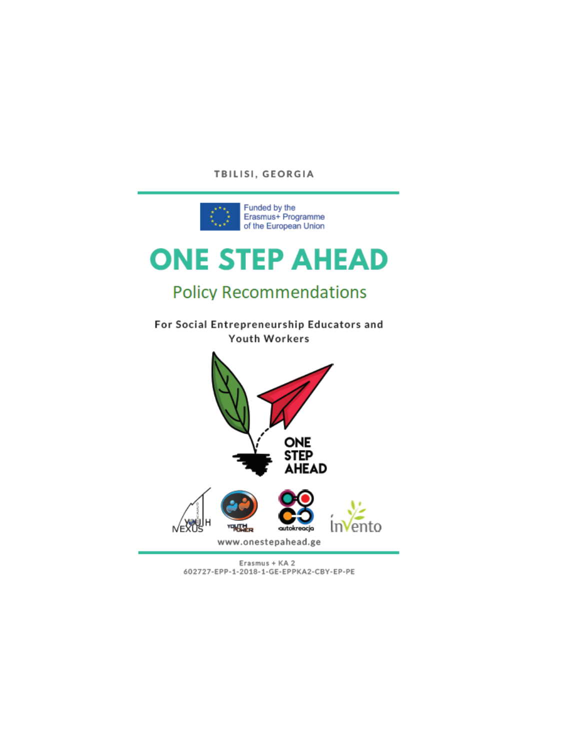#### TBILISI, GEORGIA



# **ONE STEP AHEAD**

# **Policy Recommendations**

For Social Entrepreneurship Educators and Youth Workers



Erasmus + KA 2 602727-EPP-1-2018-1-GE-EPPKA2-CBY-EP-PE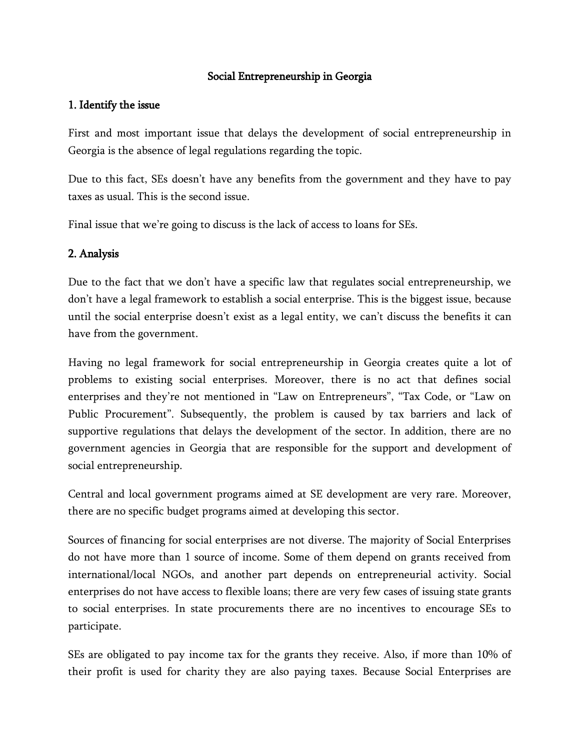## Social Entrepreneurship in Georgia

#### 1. Identify the issue

First and most important issue that delays the development of social entrepreneurship in Georgia is the absence of legal regulations regarding the topic.

Due to this fact, SEs doesn't have any benefits from the government and they have to pay taxes as usual. This is the second issue.

Final issue that we're going to discuss is the lack of access to loans for SEs.

#### 2. Analysis

Due to the fact that we don't have a specific law that regulates social entrepreneurship, we don't have a legal framework to establish a social enterprise. This is the biggest issue, because until the social enterprise doesn't exist as a legal entity, we can't discuss the benefits it can have from the government.

Having no legal framework for social entrepreneurship in Georgia creates quite a lot of problems to existing social enterprises. Moreover, there is no act that defines social enterprises and they're not mentioned in "Law on Entrepreneurs", "Tax Code, or "Law on Public Procurement". Subsequently, the problem is caused by tax barriers and lack of supportive regulations that delays the development of the sector. In addition, there are no government agencies in Georgia that are responsible for the support and development of social entrepreneurship.

Central and local government programs aimed at SE development are very rare. Moreover, there are no specific budget programs aimed at developing this sector.

Sources of financing for social enterprises are not diverse. The majority of Social Enterprises do not have more than 1 source of income. Some of them depend on grants received from international/local NGOs, and another part depends on entrepreneurial activity. Social enterprises do not have access to flexible loans; there are very few cases of issuing state grants to social enterprises. In state procurements there are no incentives to encourage SEs to participate.

SEs are obligated to pay income tax for the grants they receive. Also, if more than 10% of their profit is used for charity they are also paying taxes. Because Social Enterprises are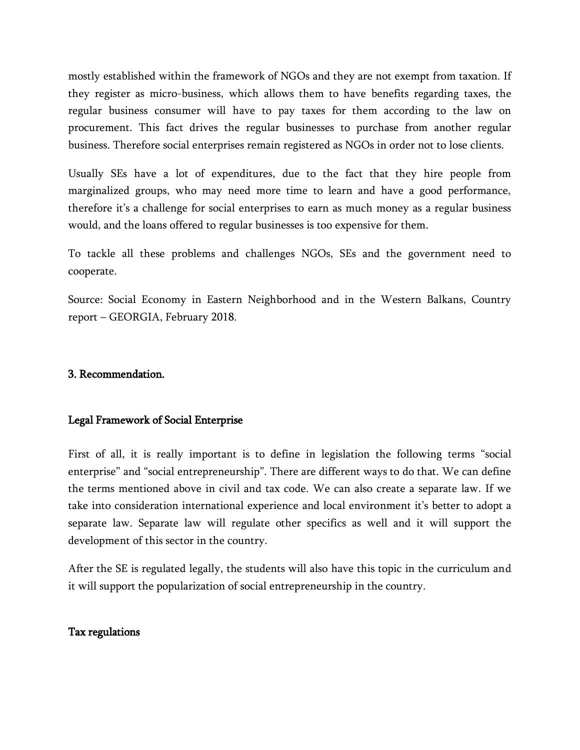mostly established within the framework of NGOs and they are not exempt from taxation. If they register as micro-business, which allows them to have benefits regarding taxes, the regular business consumer will have to pay taxes for them according to the law on procurement. This fact drives the regular businesses to purchase from another regular business. Therefore social enterprises remain registered as NGOs in order not to lose clients.

Usually SEs have a lot of expenditures, due to the fact that they hire people from marginalized groups, who may need more time to learn and have a good performance, therefore it's a challenge for social enterprises to earn as much money as a regular business would, and the loans offered to regular businesses is too expensive for them.

To tackle all these problems and challenges NGOs, SEs and the government need to cooperate.

Source: Social Economy in Eastern Neighborhood and in the Western Balkans, Country report – GEORGIA, February 2018.

#### 3. Recommendation.

#### Legal Framework of Social Enterprise

First of all, it is really important is to define in legislation the following terms "social enterprise" and "social entrepreneurship". There are different ways to do that. We can define the terms mentioned above in civil and tax code. We can also create a separate law. If we take into consideration international experience and local environment it's better to adopt a separate law. Separate law will regulate other specifics as well and it will support the development of this sector in the country.

After the SE is regulated legally, the students will also have this topic in the curriculum and it will support the popularization of social entrepreneurship in the country.

#### Tax regulations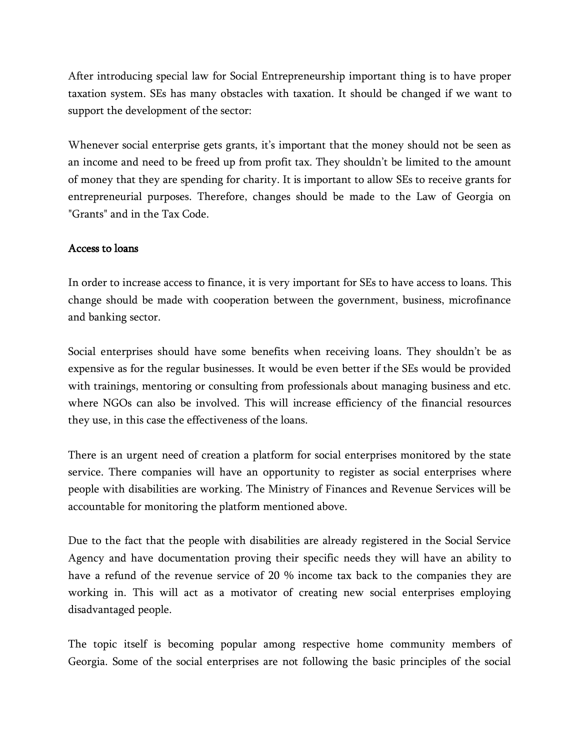After introducing special law for Social Entrepreneurship important thing is to have proper taxation system. SEs has many obstacles with taxation. It should be changed if we want to support the development of the sector:

Whenever social enterprise gets grants, it's important that the money should not be seen as an income and need to be freed up from profit tax. They shouldn't be limited to the amount of money that they are spending for charity. It is important to allow SEs to receive grants for entrepreneurial purposes. Therefore, changes should be made to the Law of Georgia on "Grants" and in the Tax Code.

#### Access to loans

In order to increase access to finance, it is very important for SEs to have access to loans. This change should be made with cooperation between the government, business, microfinance and banking sector.

Social enterprises should have some benefits when receiving loans. They shouldn't be as expensive as for the regular businesses. It would be even better if the SEs would be provided with trainings, mentoring or consulting from professionals about managing business and etc. where NGOs can also be involved. This will increase efficiency of the financial resources they use, in this case the effectiveness of the loans.

There is an urgent need of creation a platform for social enterprises monitored by the state service. There companies will have an opportunity to register as social enterprises where people with disabilities are working. The Ministry of Finances and Revenue Services will be accountable for monitoring the platform mentioned above.

Due to the fact that the people with disabilities are already registered in the Social Service Agency and have documentation proving their specific needs they will have an ability to have a refund of the revenue service of 20 % income tax back to the companies they are working in. This will act as a motivator of creating new social enterprises employing disadvantaged people.

The topic itself is becoming popular among respective home community members of Georgia. Some of the social enterprises are not following the basic principles of the social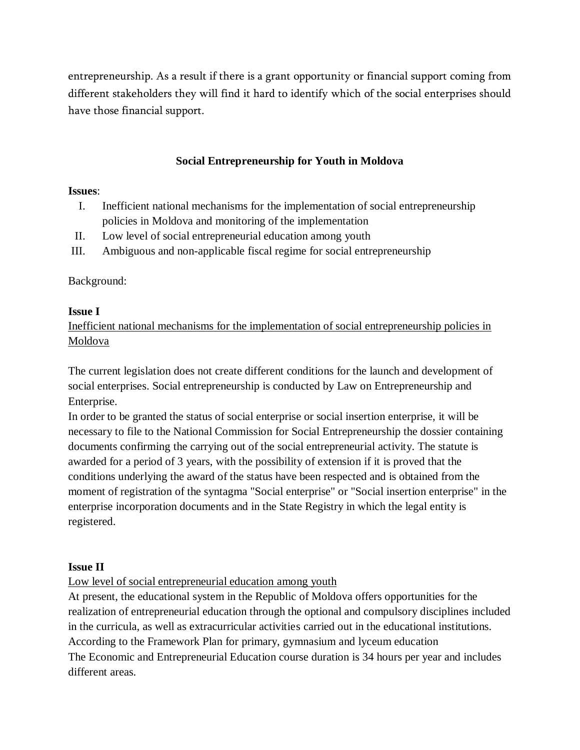entrepreneurship. As a result if there is a grant opportunity or financial support coming from different stakeholders they will find it hard to identify which of the social enterprises should have those financial support.

## **Social Entrepreneurship for Youth in Moldova**

#### **Issues**:

- I. Inefficient national mechanisms for the implementation of social entrepreneurship policies in Moldova and monitoring of the implementation
- II. Low level of social entrepreneurial education among youth
- III. Ambiguous and non-applicable fiscal regime for social entrepreneurship

# Background:

# **Issue I**

Inefficient national mechanisms for the implementation of social entrepreneurship policies in Moldova

The current legislation does not create different conditions for the launch and development of social enterprises. Social entrepreneurship is conducted by Law on Entrepreneurship and Enterprise.

In order to be granted the status of social enterprise or social insertion enterprise, it will be necessary to file to the National Commission for Social Entrepreneurship the dossier containing documents confirming the carrying out of the social entrepreneurial activity. The statute is awarded for a period of 3 years, with the possibility of extension if it is proved that the conditions underlying the award of the status have been respected and is obtained from the moment of registration of the syntagma "Social enterprise" or "Social insertion enterprise" in the enterprise incorporation documents and in the State Registry in which the legal entity is registered.

#### **Issue II**

Low level of social entrepreneurial education among youth

At present, the educational system in the Republic of Moldova offers opportunities for the realization of entrepreneurial education through the optional and compulsory disciplines included in the curricula, as well as extracurricular activities carried out in the educational institutions. According to the Framework Plan for primary, gymnasium and lyceum education The Economic and Entrepreneurial Education course duration is 34 hours per year and includes different areas.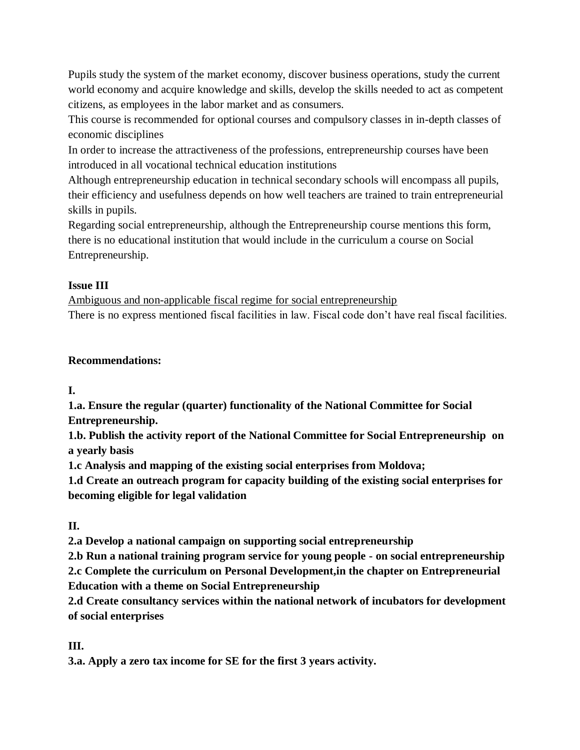Pupils study the system of the market economy, discover business operations, study the current world economy and acquire knowledge and skills, develop the skills needed to act as competent citizens, as employees in the labor market and as consumers.

This course is recommended for optional courses and compulsory classes in in-depth classes of economic disciplines

In order to increase the attractiveness of the professions, entrepreneurship courses have been introduced in all vocational technical education institutions

Although entrepreneurship education in technical secondary schools will encompass all pupils, their efficiency and usefulness depends on how well teachers are trained to train entrepreneurial skills in pupils.

Regarding social entrepreneurship, although the Entrepreneurship course mentions this form, there is no educational institution that would include in the curriculum a course on Social Entrepreneurship.

# **Issue III**

Ambiguous and non-applicable fiscal regime for social entrepreneurship There is no express mentioned fiscal facilities in law. Fiscal code don't have real fiscal facilities.

# **Recommendations:**

**I.**

**1.a. Ensure the regular (quarter) functionality of the National Committee for Social Entrepreneurship.**

**1.b. Publish the activity report of the National Committee for Social Entrepreneurship on a yearly basis**

**1.c Analysis and mapping of the existing social enterprises from Moldova;**

**1.d Create an outreach program for capacity building of the existing social enterprises for becoming eligible for legal validation**

**II.** 

**2.a Develop a national campaign on supporting social entrepreneurship**

**2.b Run a national training program service for young people - on social entrepreneurship 2.c Complete the curriculum on Personal Development,in the chapter on Entrepreneurial Education with a theme on Social Entrepreneurship**

**2.d Create consultancy services within the national network of incubators for development of social enterprises**

**III.**

**3.a. Apply a zero tax income for SE for the first 3 years activity.**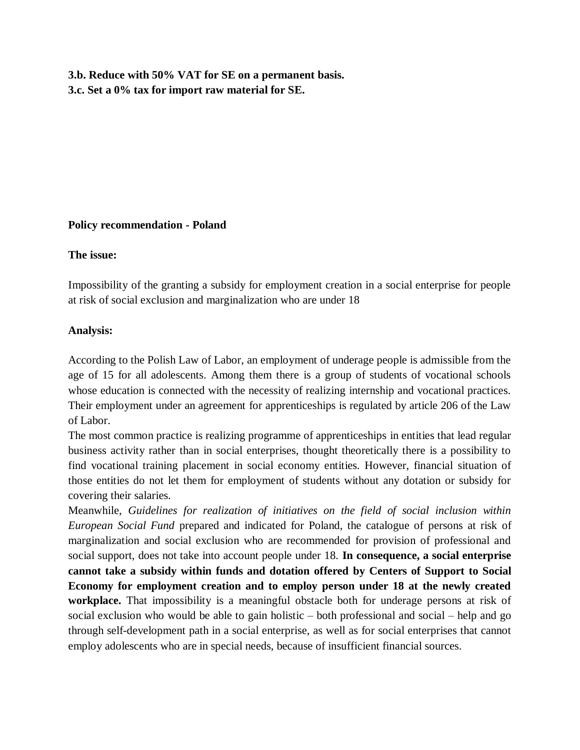**3.b. Reduce with 50% VAT for SE on a permanent basis. 3.c. Set a 0% tax for import raw material for SE.**

#### **Policy recommendation - Poland**

#### **The issue:**

Impossibility of the granting a subsidy for employment creation in a social enterprise for people at risk of social exclusion and marginalization who are under 18

#### **Analysis:**

According to the Polish Law of Labor, an employment of underage people is admissible from the age of 15 for all adolescents. Among them there is a group of students of vocational schools whose education is connected with the necessity of realizing internship and vocational practices. Their employment under an agreement for apprenticeships is regulated by article 206 of the Law of Labor.

The most common practice is realizing programme of apprenticeships in entities that lead regular business activity rather than in social enterprises, thought theoretically there is a possibility to find vocational training placement in social economy entities. However, financial situation of those entities do not let them for employment of students without any dotation or subsidy for covering their salaries.

Meanwhile, *Guidelines for realization of initiatives on the field of social inclusion within European Social Fund* prepared and indicated for Poland, the catalogue of persons at risk of marginalization and social exclusion who are recommended for provision of professional and social support, does not take into account people under 18. **In consequence, a social enterprise cannot take a subsidy within funds and dotation offered by Centers of Support to Social Economy for employment creation and to employ person under 18 at the newly created workplace.** That impossibility is a meaningful obstacle both for underage persons at risk of social exclusion who would be able to gain holistic – both professional and social – help and go through self-development path in a social enterprise, as well as for social enterprises that cannot employ adolescents who are in special needs, because of insufficient financial sources.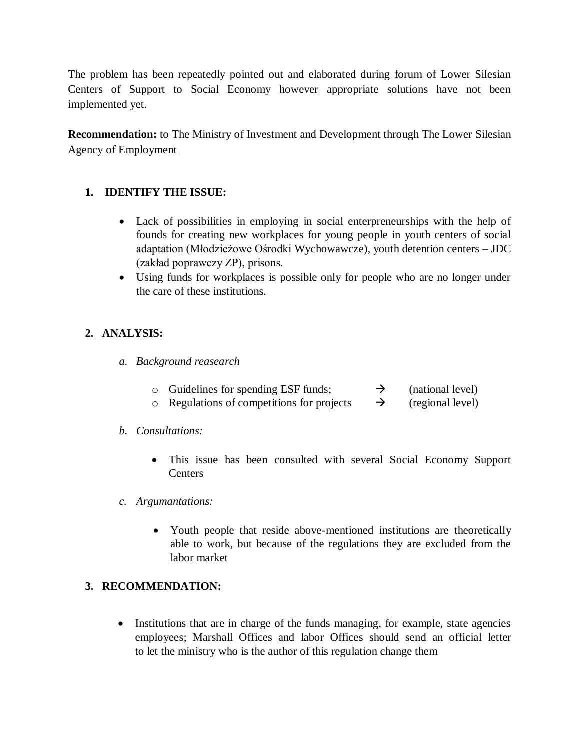The problem has been repeatedly pointed out and elaborated during forum of Lower Silesian Centers of Support to Social Economy however appropriate solutions have not been implemented yet.

**Recommendation:** to The Ministry of Investment and Development through The Lower Silesian Agency of Employment

# **1. IDENTIFY THE ISSUE:**

- Lack of possibilities in employing in social enterpreneurships with the help of founds for creating new workplaces for young people in youth centers of social adaptation (Młodzieżowe Ośrodki Wychowawcze), youth detention centers – JDC (zakład poprawczy ZP), prisons.
- Using funds for workplaces is possible only for people who are no longer under the care of these institutions.

# **2. ANALYSIS:**

- *a. Background reasearch*
	- $\circ$  Guidelines for spending ESF funds;  $\rightarrow$  (national level)
	- $\circ$  Regulations of competitions for projects  $\rightarrow$  (regional level)

#### *b. Consultations:*

- This issue has been consulted with several Social Economy Support **Centers**
- *c. Argumantations:*
	- Youth people that reside above-mentioned institutions are theoretically able to work, but because of the regulations they are excluded from the labor market

#### **3. RECOMMENDATION:**

• Institutions that are in charge of the funds managing, for example, state agencies employees; Marshall Offices and labor Offices should send an official letter to let the ministry who is the author of this regulation change them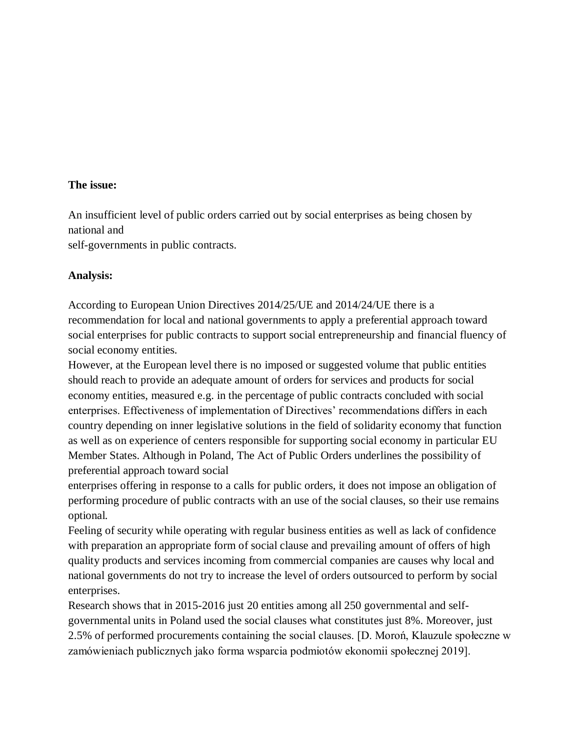#### **The issue:**

An insufficient level of public orders carried out by social enterprises as being chosen by national and

self-governments in public contracts.

#### **Analysis:**

According to European Union Directives 2014/25/UE and 2014/24/UE there is a recommendation for local and national governments to apply a preferential approach toward social enterprises for public contracts to support social entrepreneurship and financial fluency of social economy entities.

However, at the European level there is no imposed or suggested volume that public entities should reach to provide an adequate amount of orders for services and products for social economy entities, measured e.g. in the percentage of public contracts concluded with social enterprises. Effectiveness of implementation of Directives' recommendations differs in each country depending on inner legislative solutions in the field of solidarity economy that function as well as on experience of centers responsible for supporting social economy in particular EU Member States. Although in Poland, The Act of Public Orders underlines the possibility of preferential approach toward social

enterprises offering in response to a calls for public orders, it does not impose an obligation of performing procedure of public contracts with an use of the social clauses, so their use remains optional.

Feeling of security while operating with regular business entities as well as lack of confidence with preparation an appropriate form of social clause and prevailing amount of offers of high quality products and services incoming from commercial companies are causes why local and national governments do not try to increase the level of orders outsourced to perform by social enterprises.

Research shows that in 2015-2016 just 20 entities among all 250 governmental and selfgovernmental units in Poland used the social clauses what constitutes just 8%. Moreover, just 2.5% of performed procurements containing the social clauses. [D. Moroń, Klauzule społeczne w zamówieniach publicznych jako forma wsparcia podmiotów ekonomii społecznej 2019].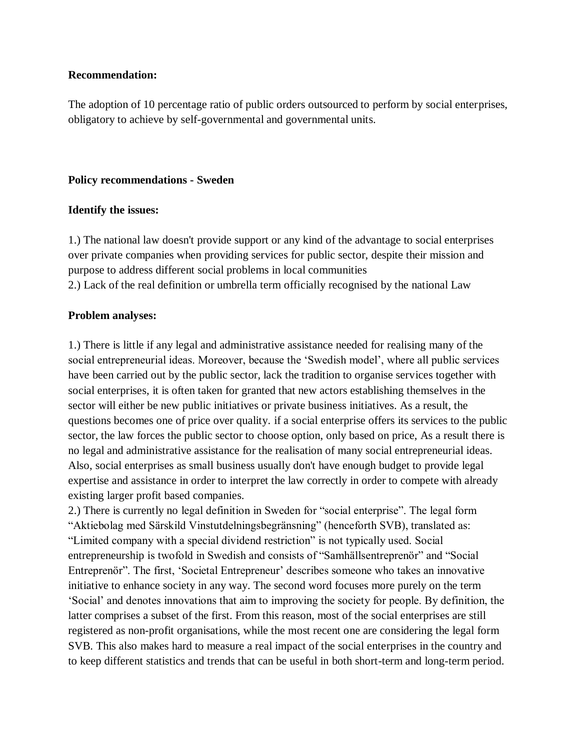#### **Recommendation:**

The adoption of 10 percentage ratio of public orders outsourced to perform by social enterprises, obligatory to achieve by self-governmental and governmental units.

#### **Policy recommendations - Sweden**

#### **Identify the issues:**

1.) The national law doesn't provide support or any kind of the advantage to social enterprises over private companies when providing services for public sector, despite their mission and purpose to address different social problems in local communities 2.) Lack of the real definition or umbrella term officially recognised by the national Law

#### **Problem analyses:**

1.) There is little if any legal and administrative assistance needed for realising many of the social entrepreneurial ideas. Moreover, because the 'Swedish model', where all public services have been carried out by the public sector, lack the tradition to organise services together with social enterprises, it is often taken for granted that new actors establishing themselves in the sector will either be new public initiatives or private business initiatives. As a result, the questions becomes one of price over quality. if a social enterprise offers its services to the public sector, the law forces the public sector to choose option, only based on price, As a result there is no legal and administrative assistance for the realisation of many social entrepreneurial ideas. Also, social enterprises as small business usually don't have enough budget to provide legal expertise and assistance in order to interpret the law correctly in order to compete with already existing larger profit based companies.

2.) There is currently no legal definition in Sweden for "social enterprise". The legal form "Aktiebolag med Särskild Vinstutdelningsbegränsning" (henceforth SVB), translated as: "Limited company with a special dividend restriction" is not typically used. Social entrepreneurship is twofold in Swedish and consists of "Samhällsentreprenör" and "Social Entreprenör". The first, 'Societal Entrepreneur' describes someone who takes an innovative initiative to enhance society in any way. The second word focuses more purely on the term 'Social' and denotes innovations that aim to improving the society for people. By definition, the latter comprises a subset of the first. From this reason, most of the social enterprises are still registered as non-profit organisations, while the most recent one are considering the legal form SVB. This also makes hard to measure a real impact of the social enterprises in the country and to keep different statistics and trends that can be useful in both short-term and long-term period.